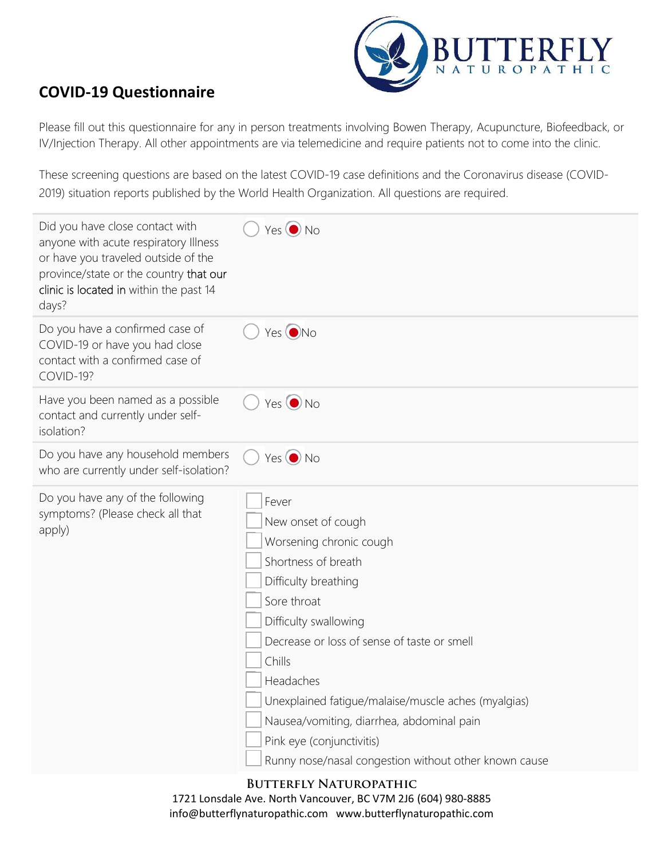

## COVID-19 Questionnaire

Please fill out this questionnaire for any in person treatments involving Bowen Therapy, Acupuncture, Biofeedback, or IV/Injection Therapy. All other appointments are via telemedicine and require patients not to come into the clinic.

These screening questions are based on the latest COVID-19 case definitions and the Coronavirus disease (COVID-2019) situation reports published by the World Health Organization. All questions are required.

| Did you have close contact with<br>anyone with acute respiratory Illness<br>or have you traveled outside of the<br>province/state or the country that our<br>clinic is located in within the past 14<br>days? | $Yes$ $\odot$ No                                                                                                                                                                                                                                                                                                                                                                                              |
|---------------------------------------------------------------------------------------------------------------------------------------------------------------------------------------------------------------|---------------------------------------------------------------------------------------------------------------------------------------------------------------------------------------------------------------------------------------------------------------------------------------------------------------------------------------------------------------------------------------------------------------|
| Do you have a confirmed case of<br>COVID-19 or have you had close<br>contact with a confirmed case of<br>COVID-19?                                                                                            | Yes ONo                                                                                                                                                                                                                                                                                                                                                                                                       |
| Have you been named as a possible<br>contact and currently under self-<br>isolation?                                                                                                                          | $Yes$ $\odot$ No                                                                                                                                                                                                                                                                                                                                                                                              |
| Do you have any household members<br>who are currently under self-isolation?                                                                                                                                  | $Yes$ $\odot$ No                                                                                                                                                                                                                                                                                                                                                                                              |
| Do you have any of the following<br>symptoms? (Please check all that<br>apply)                                                                                                                                | Fever<br>New onset of cough<br>Worsening chronic cough<br>Shortness of breath<br>Difficulty breathing<br>Sore throat<br>Difficulty swallowing<br>Decrease or loss of sense of taste or smell<br>Chills<br>Headaches<br>Unexplained fatigue/malaise/muscle aches (myalgias)<br>Nausea/vomiting, diarrhea, abdominal pain<br>Pink eye (conjunctivitis)<br>Runny nose/nasal congestion without other known cause |

## Butterfly Naturopathic

1721 Lonsdale Ave. North Vancouver, BC V7M 2J6 (604) 980-8885 info@butterflynaturopathic.com www.butterflynaturopathic.com